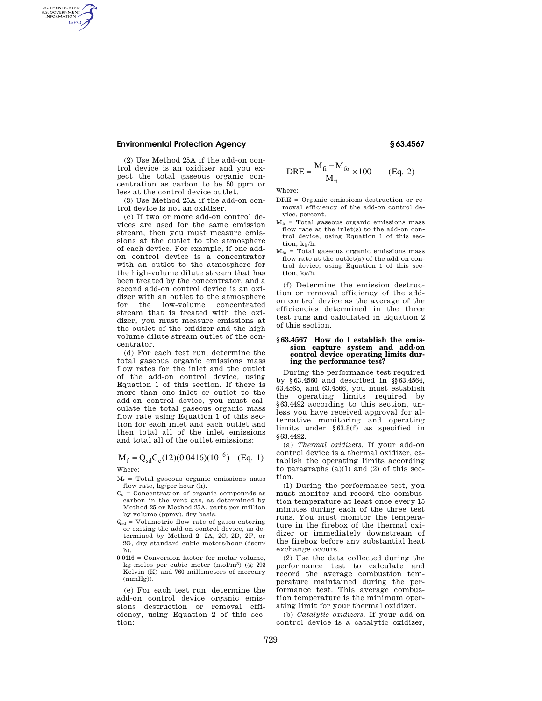# **Environmental Protection Agency § 63.4567**

AUTHENTICATED<br>U.S. GOVERNMENT<br>INFORMATION GPO

> (2) Use Method 25A if the add-on control device is an oxidizer and you expect the total gaseous organic concentration as carbon to be 50 ppm or less at the control device outlet.

> (3) Use Method 25A if the add-on control device is not an oxidizer.

(c) If two or more add-on control devices are used for the same emission stream, then you must measure emissions at the outlet to the atmosphere of each device. For example, if one addon control device is a concentrator with an outlet to the atmosphere for the high-volume dilute stream that has been treated by the concentrator, and a second add-on control device is an oxidizer with an outlet to the atmosphere for the low-volume concentrated stream that is treated with the oxidizer, you must measure emissions at the outlet of the oxidizer and the high volume dilute stream outlet of the concentrator.

(d) For each test run, determine the total gaseous organic emissions mass flow rates for the inlet and the outlet of the add-on control device, using Equation 1 of this section. If there is more than one inlet or outlet to the add-on control device, you must calculate the total gaseous organic mass flow rate using Equation 1 of this section for each inlet and each outlet and then total all of the inlet emissions and total all of the outlet emissions:

# $M_f = Q_{sd} C_c (12)(0.0416)(10^{-6})$  (Eq. 1) Where:

 $M_f$  = Total gaseous organic emissions mass flow rate, kg/per hour (h).

- $C_c$  = Concentration of organic compounds as carbon in the vent gas, as determined by Method 25 or Method 25A, parts per million by volume (ppmv), dry basis.
- $Q_{sd}$  = Volumetric flow rate of gases entering or exiting the add-on control device, as determined by Method 2, 2A, 2C, 2D, 2F, or 2G, dry standard cubic meters/hour (dscm/ h).
- $0.0416 =$  Conversion factor for molar volume, kg-moles per cubic meter (mol/m3) (@ 293 Kelvin (K) and 760 millimeters of mercury (mmHg)).

(e) For each test run, determine the add-on control device organic emissions destruction or removal efficiency, using Equation 2 of this section:

$$
DRE = \frac{M_{\rm fi} - M_{\rm fo}}{M_{\rm fi}} \times 100
$$
 (Eq. 2)

Where:

- DRE = Organic emissions destruction or removal efficiency of the add-on control device, percent.
- $M<sub>fi</sub>$  = Total gaseous organic emissions mass flow rate at the inlet(s) to the add-on control device, using Equation 1 of this section, kg/h.
- $M_{fo}$  = Total gaseous organic emissions mass flow rate at the outlet(s) of the add-on control device, using Equation 1 of this section, kg/h.

(f) Determine the emission destruction or removal efficiency of the addon control device as the average of the efficiencies determined in the three test runs and calculated in Equation 2 of this section.

### **§ 63.4567 How do I establish the emission capture system and add-on control device operating limits during the performance test?**

During the performance test required by §63.4560 and described in §§63.4564, 63.4565, and 63.4566, you must establish the operating limits required by §63.4492 according to this section, unless you have received approval for alternative monitoring and operating limits under §63.8(f) as specified in §63.4492.

(a) *Thermal oxidizers.* If your add-on control device is a thermal oxidizer, establish the operating limits according to paragraphs  $(a)(1)$  and  $(2)$  of this section.

(1) During the performance test, you must monitor and record the combustion temperature at least once every 15 minutes during each of the three test runs. You must monitor the temperature in the firebox of the thermal oxidizer or immediately downstream of the firebox before any substantial heat exchange occurs.

(2) Use the data collected during the performance test to calculate and record the average combustion temperature maintained during the performance test. This average combustion temperature is the minimum operating limit for your thermal oxidizer.

(b) *Catalytic oxidizers.* If your add-on control device is a catalytic oxidizer,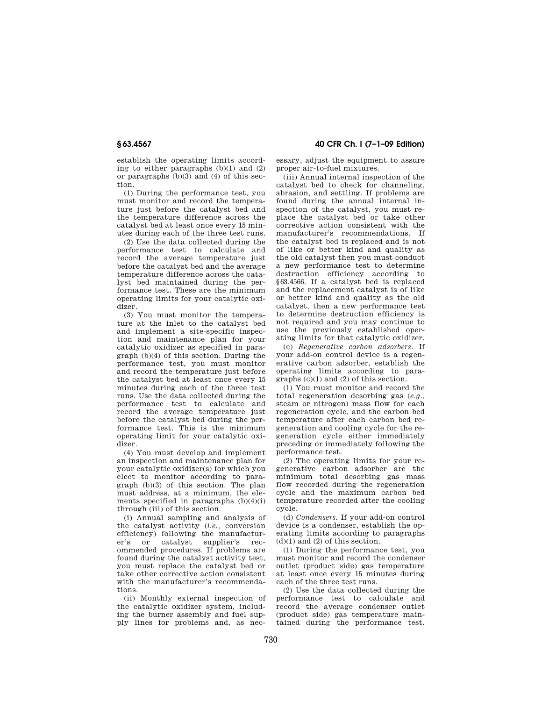establish the operating limits according to either paragraphs  $(b)(1)$  and  $(2)$ or paragraphs (b)(3) and (4) of this section.

(1) During the performance test, you must monitor and record the temperature just before the catalyst bed and the temperature difference across the catalyst bed at least once every 15 minutes during each of the three test runs.

(2) Use the data collected during the performance test to calculate and record the average temperature just before the catalyst bed and the average temperature difference across the catalyst bed maintained during the performance test. These are the minimum operating limits for your catalytic oxidizer.

(3) You must monitor the temperature at the inlet to the catalyst bed and implement a site-specific inspection and maintenance plan for your catalytic oxidizer as specified in paragraph (b)(4) of this section. During the performance test, you must monitor and record the temperature just before the catalyst bed at least once every 15 minutes during each of the three test runs. Use the data collected during the performance test to calculate and record the average temperature just before the catalyst bed during the performance test. This is the minimum operating limit for your catalytic oxidizer.

(4) You must develop and implement an inspection and maintenance plan for your catalytic oxidizer(s) for which you elect to monitor according to para $graph (b)(3)$  of this section. The plan must address, at a minimum, the elements specified in paragraphs (b)(4)(i) through (iii) of this section.

(i) Annual sampling and analysis of the catalyst activity (*i.e.,* conversion efficiency) following the manufacturer's or catalyst supplier's recommended procedures. If problems are found during the catalyst activity test, you must replace the catalyst bed or take other corrective action consistent with the manufacturer's recommendations.

(ii) Monthly external inspection of the catalytic oxidizer system, including the burner assembly and fuel supply lines for problems and, as nec-

**§ 63.4567 40 CFR Ch. I (7–1–09 Edition)** 

essary, adjust the equipment to assure proper air-to-fuel mixtures.

(iii) Annual internal inspection of the catalyst bed to check for channeling, abrasion, and settling. If problems are found during the annual internal inspection of the catalyst, you must replace the catalyst bed or take other corrective action consistent with the manufacturer's recommendations. If the catalyst bed is replaced and is not of like or better kind and quality as the old catalyst then you must conduct a new performance test to determine destruction efficiency according to §63.4566. If a catalyst bed is replaced and the replacement catalyst is of like or better kind and quality as the old catalyst, then a new performance test to determine destruction efficiency is not required and you may continue to use the previously established operating limits for that catalytic oxidizer.

(c) *Regenerative carbon adsorbers.* If your add-on control device is a regenerative carbon adsorber, establish the operating limits according to paragraphs (c)(1) and (2) of this section.

(1) You must monitor and record the total regeneration desorbing gas (*e.g.,*  steam or nitrogen) mass flow for each regeneration cycle, and the carbon bed temperature after each carbon bed regeneration and cooling cycle for the regeneration cycle either immediately preceding or immediately following the performance test.

(2) The operating limits for your regenerative carbon adsorber are the minimum total desorbing gas mass flow recorded during the regeneration cycle and the maximum carbon bed temperature recorded after the cooling cycle.

(d) *Condensers.* If your add-on control device is a condenser, establish the operating limits according to paragraphs  $(d)(1)$  and  $(2)$  of this section.

(1) During the performance test, you must monitor and record the condenser outlet (product side) gas temperature at least once every 15 minutes during each of the three test runs.

(2) Use the data collected during the performance test to calculate and record the average condenser outlet (product side) gas temperature maintained during the performance test.